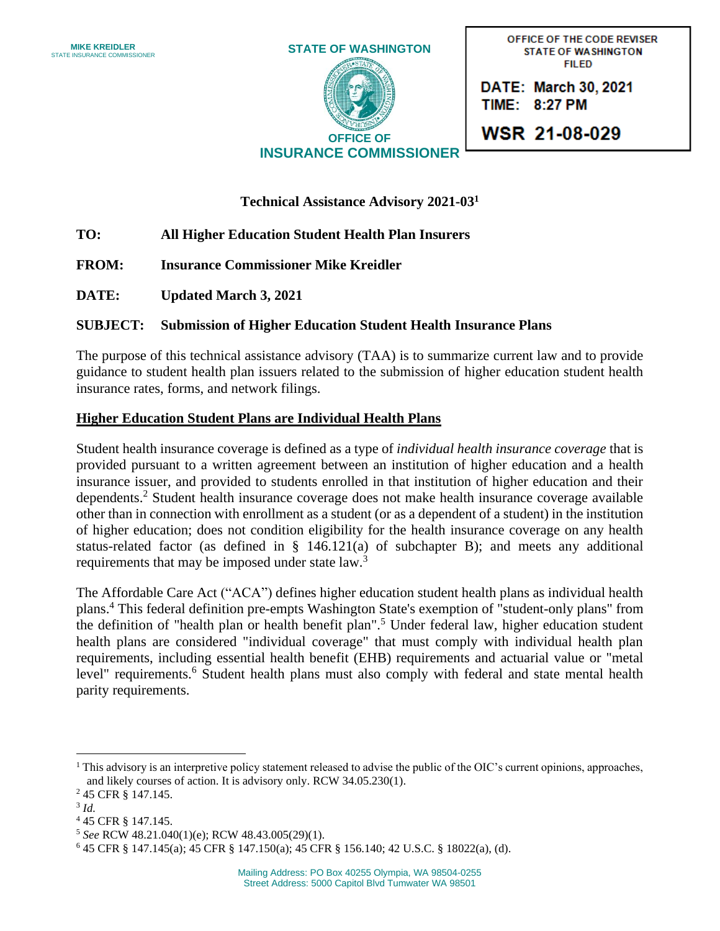

OFFICE OF THE CODE REVISER **PHONE SHINGTON** www.insurance.wa

**DATE: March 30, 2021** TIME: 8:27 PM

**WSR 21-08-029** 

**Technical Assistance Advisory 2021-03 1**

# **TO: All Higher Education Student Health Plan Insurers**

- **FROM: Insurance Commissioner Mike Kreidler**
- **DATE: Updated March 3, 2021**

## **SUBJECT: Submission of Higher Education Student Health Insurance Plans**

The purpose of this technical assistance advisory (TAA) is to summarize current law and to provide guidance to student health plan issuers related to the submission of higher education student health insurance rates, forms, and network filings.

## **Higher Education Student Plans are Individual Health Plans**

Student health insurance coverage is defined as a type of *individual health insurance coverage* that is provided pursuant to a written agreement between an institution of higher education and a health insurance issuer, and provided to students enrolled in that institution of higher education and their dependents. <sup>2</sup> Student health insurance coverage does not make health insurance coverage available other than in connection with enrollment as a student (or as a dependent of a student) in the institution of higher education; does not condition eligibility for the health insurance coverage on any health status-related factor (as defined in § 146.121(a) of subchapter B); and meets any additional requirements that may be imposed under state law.<sup>3</sup>

The Affordable Care Act ("ACA") defines higher education student health plans as individual health plans.<sup>4</sup> This federal definition pre-empts Washington State's exemption of "student-only plans" from the definition of "health plan or health benefit plan".<sup>5</sup> Under federal law, higher education student health plans are considered "individual coverage" that must comply with individual health plan requirements, including essential health benefit (EHB) requirements and actuarial value or "metal level" requirements.<sup>6</sup> Student health plans must also comply with federal and state mental health parity requirements.

3 *Id.*

 $<sup>1</sup>$  This advisory is an interpretive policy statement released to advise the public of the OIC's current opinions, approaches,</sup> and likely courses of action. It is advisory only. RCW 34.05.230(1).

<sup>2</sup> 45 CFR § 147.145.

<sup>4</sup> 45 CFR § 147.145.

<sup>5</sup> *See* RCW 48.21.040(1)(e); RCW 48.43.005(29)(1).

<sup>6</sup> 45 CFR § 147.145(a); 45 CFR § 147.150(a); 45 CFR § 156.140; 42 U.S.C. § 18022(a), (d).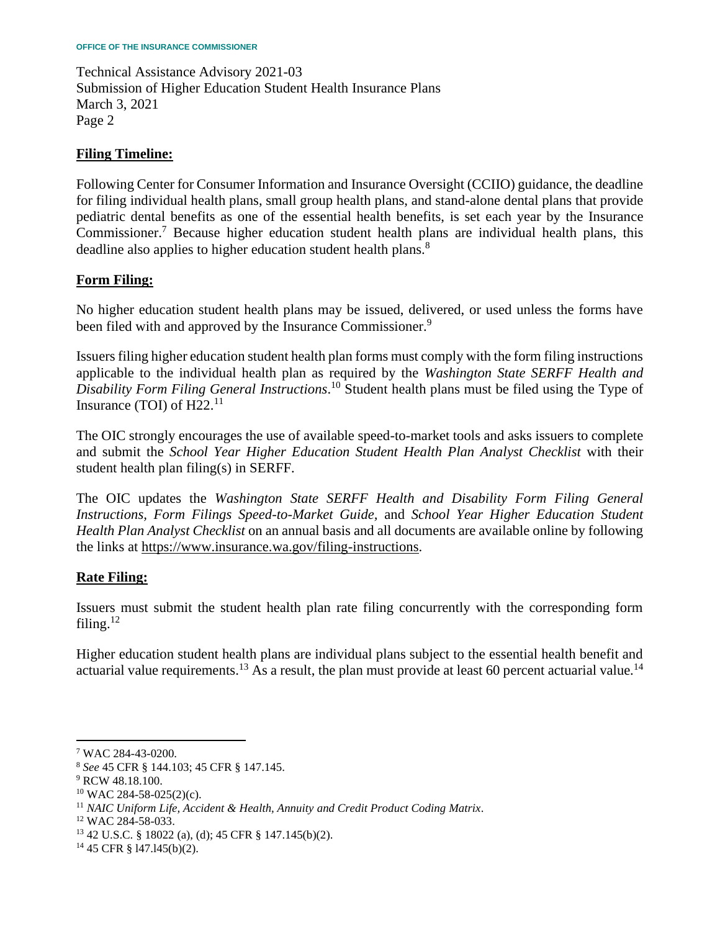Technical Assistance Advisory 2021-03 Submission of Higher Education Student Health Insurance Plans March 3, 2021 Page 2

#### **Filing Timeline:**

Following Center for Consumer Information and Insurance Oversight (CCIIO) guidance, the deadline for filing individual health plans, small group health plans, and stand-alone dental plans that provide pediatric dental benefits as one of the essential health benefits, is set each year by the Insurance Commissioner.<sup>7</sup> Because higher education student health plans are individual health plans, this deadline also applies to higher education student health plans.<sup>8</sup>

## **Form Filing:**

No higher education student health plans may be issued, delivered, or used unless the forms have been filed with and approved by the Insurance Commissioner.<sup>9</sup>

Issuers filing higher education student health plan forms must comply with the form filing instructions applicable to the individual health plan as required by the *Washington State SERFF Health and Disability Form Filing General Instructions*. <sup>10</sup> Student health plans must be filed using the Type of Insurance (TOI) of  $H22<sup>11</sup>$ 

The OIC strongly encourages the use of available speed-to-market tools and asks issuers to complete and submit the *School Year Higher Education Student Health Plan Analyst Checklist* with their student health plan filing(s) in SERFF.

The OIC updates the *Washington State SERFF Health and Disability Form Filing General Instructions, Form Filings Speed-to-Market Guide,* and *School Year Higher Education Student Health Plan Analyst Checklist* on an annual basis and all documents are available online by following the links at [https://www.insurance.wa.gov/filing-instructions.](https://www.insurance.wa.gov/filing-instructions)

## **Rate Filing:**

Issuers must submit the student health plan rate filing concurrently with the corresponding form filing. $12$ 

Higher education student health plans are individual plans subject to the essential health benefit and actuarial value requirements.<sup>13</sup> As a result, the plan must provide at least 60 percent actuarial value.<sup>14</sup>

<sup>7</sup> WAC 284-43-0200.

<sup>8</sup> *See* 45 CFR § 144.103; 45 CFR § 147.145.

<sup>9</sup> RCW 48.18.100.

<sup>10</sup> WAC 284-58-025(2)(c).

<sup>11</sup> *NAIC Uniform Life, Accident & Health, Annuity and Credit Product Coding Matrix*.

<sup>12</sup> WAC 284-58-033.

<sup>13</sup> 42 U.S.C. § 18022 (a), (d); 45 CFR § 147.145(b)(2).

<sup>14</sup> 45 CFR § l47.l45(b)(2).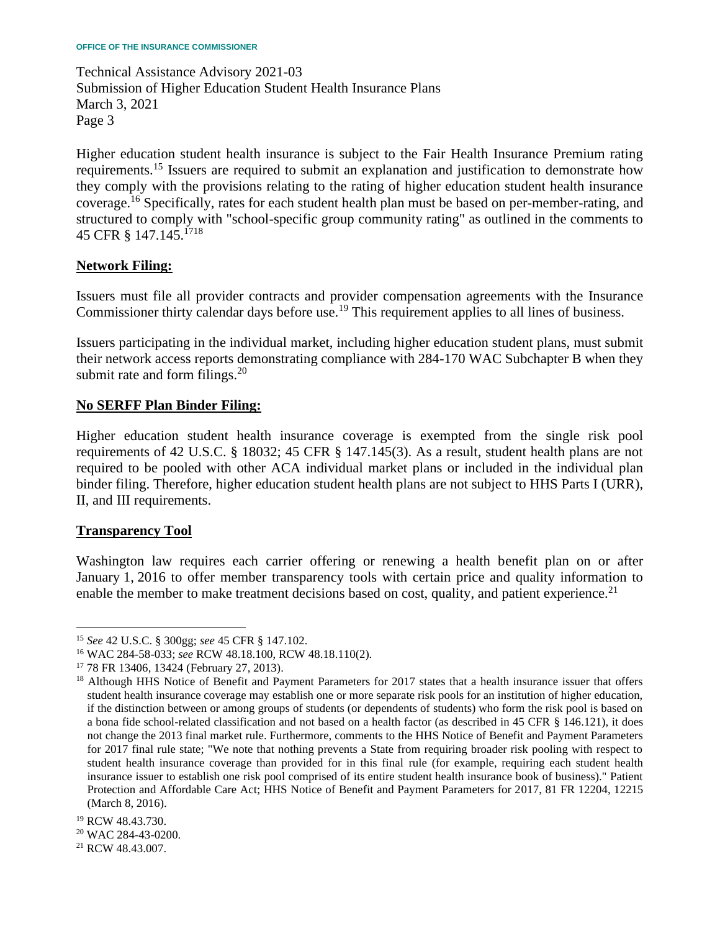Technical Assistance Advisory 2021-03 Submission of Higher Education Student Health Insurance Plans March 3, 2021 Page 3

Higher education student health insurance is subject to the Fair Health Insurance Premium rating requirements.<sup>15</sup> Issuers are required to submit an explanation and justification to demonstrate how they comply with the provisions relating to the rating of higher education student health insurance coverage.<sup>16</sup> Specifically, rates for each student health plan must be based on per-member-rating, and structured to comply with "school-specific group community rating" as outlined in the comments to 45 CFR § 147.145.<sup>1718</sup>

## **Network Filing:**

Issuers must file all provider contracts and provider compensation agreements with the Insurance Commissioner thirty calendar days before use.<sup>19</sup> This requirement applies to all lines of business.

Issuers participating in the individual market, including higher education student plans, must submit their network access reports demonstrating compliance with 284-170 WAC Subchapter B when they submit rate and form filings. $20$ 

#### **No SERFF Plan Binder Filing:**

Higher education student health insurance coverage is exempted from the single risk pool requirements of 42 U.S.C. § 18032; 45 CFR § 147.145(3). As a result, student health plans are not required to be pooled with other ACA individual market plans or included in the individual plan binder filing. Therefore, higher education student health plans are not subject to HHS Parts I (URR), II, and III requirements.

#### **Transparency Tool**

Washington law requires each carrier offering or renewing a health benefit plan on or after January 1, 2016 to offer member transparency tools with certain price and quality information to enable the member to make treatment decisions based on cost, quality, and patient experience.<sup>21</sup>

<sup>19</sup> RCW 48.43.730.

<sup>15</sup> *See* 42 U.S.C. § 300gg; *see* 45 CFR § 147.102.

<sup>16</sup> WAC 284-58-033; *see* RCW 48.18.100, RCW 48.18.110(2).

<sup>17</sup> 78 FR 13406, 13424 (February 27, 2013).

<sup>&</sup>lt;sup>18</sup> Although HHS Notice of Benefit and Payment Parameters for 2017 states that a health insurance issuer that offers student health insurance coverage may establish one or more separate risk pools for an institution of higher education, if the distinction between or among groups of students (or dependents of students) who form the risk pool is based on a bona fide school-related classification and not based on a health factor (as described in 45 CFR § 146.121), it does not change the 2013 final market rule. Furthermore, comments to the HHS Notice of Benefit and Payment Parameters for 2017 final rule state; "We note that nothing prevents a State from requiring broader risk pooling with respect to student health insurance coverage than provided for in this final rule (for example, requiring each student health insurance issuer to establish one risk pool comprised of its entire student health insurance book of business)." Patient Protection and Affordable Care Act; HHS Notice of Benefit and Payment Parameters for 2017, 81 FR 12204, 12215 (March 8, 2016).

<sup>20</sup> WAC 284-43-0200.

<sup>21</sup> RCW 48.43.007.